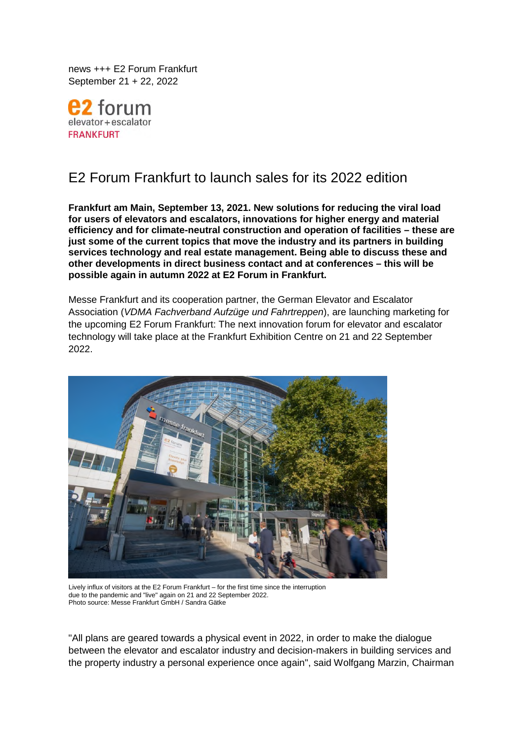news +++ E2 Forum Frankfurt September 21 + 22, 2022



# E2 Forum Frankfurt to launch sales for its 2022 edition

**Frankfurt am Main, September 13, 2021. New solutions for reducing the viral load for users of elevators and escalators, innovations for higher energy and material efficiency and for climate-neutral construction and operation of facilities – these are just some of the current topics that move the industry and its partners in building services technology and real estate management. Being able to discuss these and other developments in direct business contact and at conferences – this will be possible again in autumn 2022 at E2 Forum in Frankfurt.** 

Messe Frankfurt and its cooperation partner, the German Elevator and Escalator Association (*VDMA Fachverband Aufzüge und Fahrtreppen*), are launching marketing for the upcoming E2 Forum Frankfurt: The next innovation forum for elevator and escalator technology will take place at the Frankfurt Exhibition Centre on 21 and 22 September 2022.



Lively influx of visitors at the E2 Forum Frankfurt – for the first time since the interruption due to the pandemic and "live" again on 21 and 22 September 2022. Photo source: Messe Frankfurt GmbH / Sandra Gätke

"All plans are geared towards a physical event in 2022, in order to make the dialogue between the elevator and escalator industry and decision-makers in building services and the property industry a personal experience once again", said Wolfgang Marzin, Chairman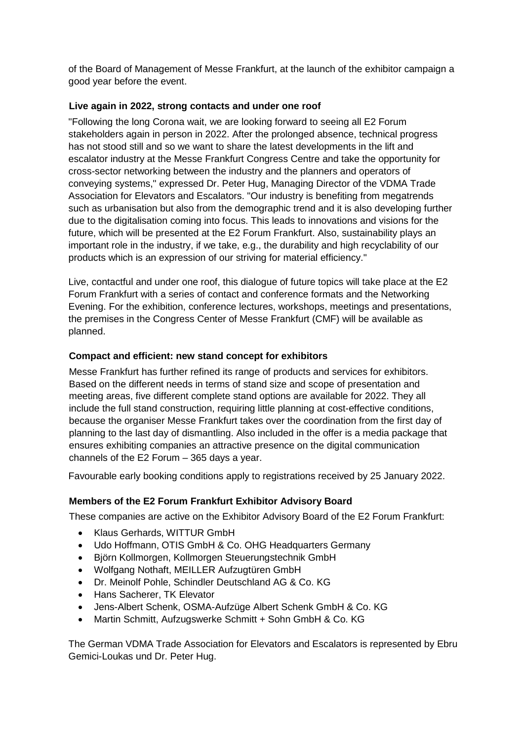of the Board of Management of Messe Frankfurt, at the launch of the exhibitor campaign a good year before the event.

# **Live again in 2022, strong contacts and under one roof**

"Following the long Corona wait, we are looking forward to seeing all E2 Forum stakeholders again in person in 2022. After the prolonged absence, technical progress has not stood still and so we want to share the latest developments in the lift and escalator industry at the Messe Frankfurt Congress Centre and take the opportunity for cross-sector networking between the industry and the planners and operators of conveying systems," expressed Dr. Peter Hug, Managing Director of the VDMA Trade Association for Elevators and Escalators. "Our industry is benefiting from megatrends such as urbanisation but also from the demographic trend and it is also developing further due to the digitalisation coming into focus. This leads to innovations and visions for the future, which will be presented at the E2 Forum Frankfurt. Also, sustainability plays an important role in the industry, if we take, e.g., the durability and high recyclability of our products which is an expression of our striving for material efficiency."

Live, contactful and under one roof, this dialogue of future topics will take place at the E2 Forum Frankfurt with a series of contact and conference formats and the Networking Evening. For the exhibition, conference lectures, workshops, meetings and presentations, the premises in the Congress Center of Messe Frankfurt (CMF) will be available as planned.

# **Compact and efficient: new stand concept for exhibitors**

Messe Frankfurt has further refined its range of products and services for exhibitors. Based on the different needs in terms of stand size and scope of presentation and meeting areas, five different complete stand options are available for 2022. They all include the full stand construction, requiring little planning at cost-effective conditions, because the organiser Messe Frankfurt takes over the coordination from the first day of planning to the last day of dismantling. Also included in the offer is a media package that ensures exhibiting companies an attractive presence on the digital communication channels of the E2 Forum – 365 days a year.

Favourable early booking conditions apply to registrations received by 25 January 2022.

# **Members of the E2 Forum Frankfurt Exhibitor Advisory Board**

These companies are active on the Exhibitor Advisory Board of the E2 Forum Frankfurt:

- Klaus Gerhards, WITTUR GmbH
- Udo Hoffmann, OTIS GmbH & Co. OHG Headquarters Germany
- Björn Kollmorgen, Kollmorgen Steuerungstechnik GmbH
- Wolfgang Nothaft, MEILLER Aufzugtüren GmbH
- Dr. Meinolf Pohle, Schindler Deutschland AG & Co. KG
- Hans Sacherer, TK Elevator
- Jens-Albert Schenk, OSMA-Aufzüge Albert Schenk GmbH & Co. KG
- Martin Schmitt, Aufzugswerke Schmitt + Sohn GmbH & Co. KG

The German VDMA Trade Association for Elevators and Escalators is represented by Ebru Gemici-Loukas und Dr. Peter Hug.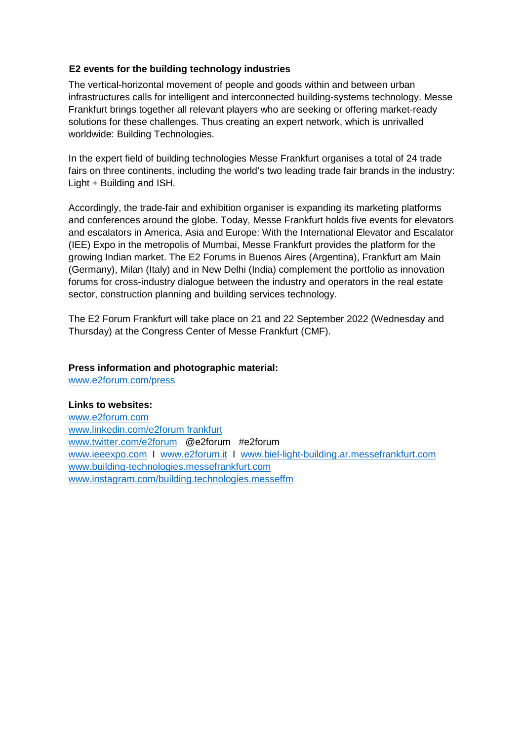## **E2 events for the building technology industries**

The vertical-horizontal movement of people and goods within and between urban infrastructures calls for intelligent and interconnected building-systems technology. Messe Frankfurt brings together all relevant players who are seeking or offering market-ready solutions for these challenges. Thus creating an expert network, which is unrivalled worldwide: Building Technologies.

In the expert field of building technologies Messe Frankfurt organises a total of 24 trade fairs on three continents, including the world's two leading trade fair brands in the industry: Light + Building and ISH.

Accordingly, the trade-fair and exhibition organiser is expanding its marketing platforms and conferences around the globe. Today, Messe Frankfurt holds five events for elevators and escalators in America, Asia and Europe: With the International Elevator and Escalator (IEE) Expo in the metropolis of Mumbai, Messe Frankfurt provides the platform for the growing Indian market. The E2 Forums in Buenos Aires (Argentina), Frankfurt am Main (Germany), Milan (Italy) and in New Delhi (India) complement the portfolio as innovation forums for cross-industry dialogue between the industry and operators in the real estate sector, construction planning and building services technology.

The E2 Forum Frankfurt will take place on 21 and 22 September 2022 (Wednesday and Thursday) at the Congress Center of Messe Frankfurt (CMF).

### **Press information and photographic material:**

www.e2forum.com/press

# **Links to websites:**

www.e2forum.com www.linkedin.com/e2forum frankfurt www.twitter.com/e2forum @e2forum #e2forum www.ieeexpo.com I www.e2forum.it I www.biel-light-building.ar.messefrankfurt.com www.building-technologies.messefrankfurt.com www.instagram.com/building.technologies.messeffm